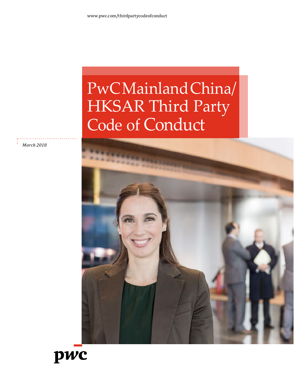# PwC Mainland China/ HKSAR Third Party Code of Conduct

*March 2018*



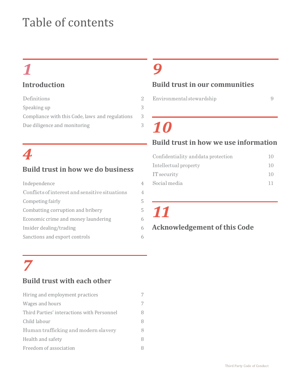# Table of contents

# *1*

### **Introduction**

| Definitions                                     | 9. |
|-------------------------------------------------|----|
| Speaking up                                     | 3  |
| Compliance with this Code, laws and regulations | 3  |
| Due diligence and monitoring                    | 3  |
|                                                 |    |

# *4*

### **Build trust in how we do business**

| Independence                                   | 4 |
|------------------------------------------------|---|
| Conflicts of interest and sensitive situations | 4 |
| Competing fairly                               | 5 |
| Combatting corruption and bribery              | 5 |
| Economic crime and money laundering            | 6 |
| Insider dealing/trading                        | 6 |
| Sanctions and export controls                  |   |

# *9*

### **Build trust in our communities**

[Environmental](#page-10-0) stewardship 9

# *10*

### **Build trust in how we use information**

| Confidentiality and data protection | $\left  \right $  |
|-------------------------------------|-------------------|
| Intellectual property               | $\overline{1}$ () |
| IT security                         | 10                |
| Social media                        | 11                |
|                                     |                   |

*11*

### **Acknowledgement of this Code**

# *7*

## **Build trust with each other**

| Hiring and employment practices            | 7 |
|--------------------------------------------|---|
| Wages and hours                            | 7 |
| Third Parties' interactions with Personnel | 8 |
| Child labour                               | 8 |
| Human trafficking and modern slavery       | 8 |
| Health and safety                          | 8 |
| Freedom of association                     | 8 |
|                                            |   |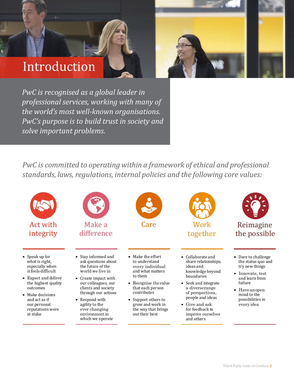# Introduction

*PwC is recognised as a global leader in professional services, working with many of the world's most well-known organisations. PwC's purpose is to build trust in society and solve important problems.*

*PwC is committed to operating within a framework of ethical and professional standards, laws, regulations, internal policies and the following core values:*

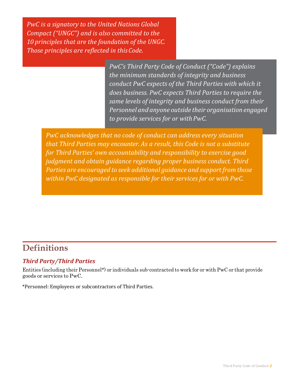*PwC is a signatory to the United Nations Global Compact ("UNGC") and is also committed to the 10 principles that are the foundation of the UNGC. Those principles are reflected in thisCode.*

> *PwC's Third Party Code of Conduct ("Code") explains the minimum standards of integrity and business conduct PwC expects of the Third Parties with which it does business. PwC expects Third Parties to require the same levels of integrity and business conduct from their Personnel and anyone outside their organisation engaged to provide services for or withPwC.*

*PwC acknowledges that no code of conduct can address every situation that Third Parties may encounter. As a result, this Code is not a substitute for Third Parties' own accountability and responsibility to exercise good judgment and obtain guidance regarding proper business conduct. Third Parties are encouraged to seek additional guidance and supportfrom those within PwC designated as responsible for their services for or with PwC.*

## <span id="page-3-0"></span>**Definitions**

### *Third Party/Third Parties*

Entities (including their Personnel\*) or individuals sub-contracted to work for or with PwC or that provide goods or services to PwC.

\*Personnel: Employees or subcontractors of Third Parties.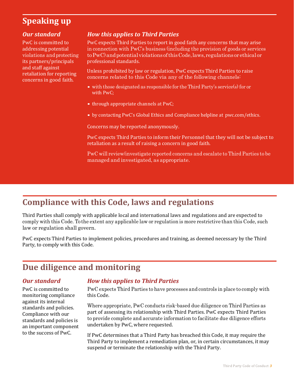# <span id="page-4-0"></span>**Speaking up**

PwC is committed to addressing potential violations and protecting its partners/principals and staff against retaliation for reporting concerns in good faith.

### *Our standard How this applies to Third Parties*

PwC expects Third Parties to report in good faith any concerns that may arise in connection with PwC's business (including the provision of goods or services toPwC)and potential violations of this Code, laws, regulations or ethicalor professional standards.

Unless prohibited by law or regulation, PwC expects Third Parties to raise concerns related to this Code via any of the following channels:

- with those designated as responsible for the Third Party's service(s) for or with PwC;
- through appropriate channels at PwC;
- by contacting PwC's Global Ethics and Compliance helpline at pwc.com/ethics.

Concerns may be reported anonymously.

PwC expects Third Parties to inform their Personnel that they will not be subject to retaliation as a result of raising a concern in good faith.

PwC will review/investigate reported concerns and escalate to Third Parties to be managed and investigated, as appropriate.

## <span id="page-4-1"></span>**Compliance with this Code, laws and regulations**

Third Parties shall comply with applicable local and international laws and regulations and are expected to comply with this Code. To the extent any applicable law or regulation is more restrictive than this Code, such law or regulation shall govern.

PwC expects Third Parties to implement policies, procedures and training, as deemed necessary by the Third Party, to comply with this Code.

# <span id="page-4-2"></span>**Due diligence and monitoring**

PwC is committed to monitoring compliance against its internal standards and policies. Compliance with our standards and policies is an important component to the success of PwC.

### *Our standard How this applies to Third Parties*

PwC expects Third Parties to have processes and controls in place to comply with this Code.

Where appropriate, PwC conducts risk-based due diligence on Third Parties as part of assessing its relationship with Third Parties. PwC expects Third Parties to provide complete and accurate information to facilitate due diligence efforts undertaken by PwC, where requested.

If PwC determines that a Third Party has breached this Code, it may require the Third Party to implement a remediation plan, or, in certain circumstances, it may suspend or terminate the relationship with the Third Party.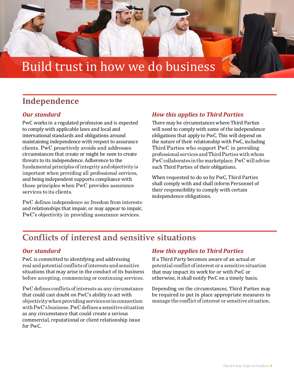

# <span id="page-5-0"></span>**Independence**

PwC works in a regulated profession and is expected to comply with applicable laws and local and international standards and obligations around maintaining independence with respect to assurance clients. PwC proactively avoids and addresses circumstances that create or might be seen to create threats to its independence. Adherence to the fundamental principles of integrity and objectivity is important when providing all professional services, and being independent supports compliance with those principles when PwC provides assurance services to its clients.

PwC defines independence as freedom from interests and relationships that impair, or may appear to impair, PwC's objectivity in providing assurance services.

### *Our standard How this applies to Third Parties*

There may be circumstances where Third Parties will need to comply with some of the independence obligations that apply to PwC. This will depend on the nature of their relationship with PwC, including Third Parties who support PwC in providing professional services andThirdParties with whom PwC collaborates inthe marketplace.PwC will advise such Third Parties of their obligations.

When requested to do so by PwC, Third Parties shall comply with and shall inform Personnel of their responsibility to comply with certain independence obligations.

# <span id="page-5-1"></span>**Conflicts of interest and sensitive situations**

PwC is committed to identifying and addressing real and potential conflicts of interests and sensitive situations that may arise in the conduct of its business before accepting, commencing or continuing services.

PwC defines conflicts of interests as any circumstance that could cast doubt on PwC's ability to act with objectivitywhenprovidingservices or inconnection with PwC's business. PwC defines a sensitive situation as any circumstance that could create a serious commercial, reputational or client relationship issue for PwC.

### *Our standard How this applies to Third Parties*

If a Third Party becomes aware of an actual or potential conflict of interest or a sensitive situation that may impact its work for or with PwC or otherwise, it shall notify PwC on a timely basis.

Depending on the circumstances, Third Parties may be required to put in place appropriate measures to manage the conflict of interest or sensitive situation.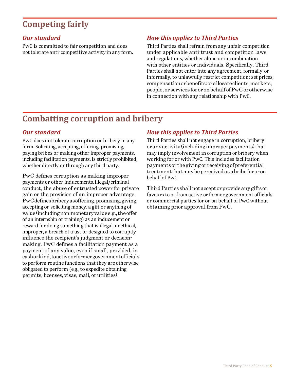# <span id="page-6-0"></span>**Competing fairly**

PwC is committed to fair competition and does not tolerate anti-competitive activity in any form.

### *Our standard How this applies to Third Parties*

Third Parties shall refrain from any unfair competition under applicable anti-trust and competition laws and regulations, whether alone or in combination with other entities or individuals. Specifically, Third Parties shall not enter into any agreement, formally or informally, to unlawfully restrict competition; set prices, compensation or benefits; or allocateclients,markets, people, or services for or on behalf of PwC or otherwise in connection with any relationship with PwC.

## <span id="page-6-1"></span>**Combatting corruption and bribery**

PwC does not tolerate corruption or bribery in any form. Soliciting, accepting, offering, promising, paying bribes or making other improper payments, including facilitation payments, is strictly prohibited, whether directly or through any third party.

PwC defines corruption as making improper payments or other inducements, illegal/criminal conduct, the abuse of entrusted power for private gain or the provision of an improper advantage. PwC defines bribery as offering, promising, giving, accepting or soliciting money, a gift or anything of value(includingnon-monetaryvaluee.g.,theoffer of an internship or training) as an inducement or reward for doing something that is illegal, unethical, improper, a breach of trust or designed to corruptly influence the recipient's judgment or decisionmaking. PwC defines a facilitation payment as a payment of any value, even if small, provided, in cash or kind,toactive or formergovernmentofficials to perform routine functions that they are otherwise obligated to perform (e.g., to expedite obtaining permits,licenses, visas, mail, or utilities).

### *Our standard How this applies to Third Parties*

Third Parties shall not engage in corruption, bribery or anyactivity(includingimproperpayments)that may imply involvement in corruption or bribery when working for or with PwC. This includes facilitation payments or thegiving or receiving of preferential treatment that may be perceived as a bribe for or on behalf of PwC.

ThirdParties shallnotaccept or provideany giftsor favours to or from active or former government officials or commercial parties for or on behalf of PwC without obtaining prior approval from PwC.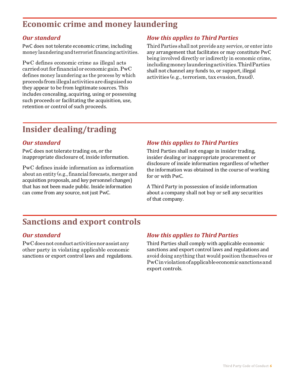# <span id="page-7-0"></span>**Economic crime and money laundering**

PwC does not tolerate economic crime, including money laundering and terrorist financing activities.

PwC defines economic crime as illegal acts carriedoutfor financial or economic gain.PwC defines money laundering as the process by which proceeds fromillegalactivitiesaredisguisedso they appear to be from legitimate sources. This includes concealing, acquiring, using or possessing such proceeds or facilitating the acquisition, use, retention or control of such proceeds.

### *Our standard How this applies to Third Parties*

Third Parties shall not provide any service, or enter into any arrangement that facilitates or may constitute PwC being involved directly or indirectly in economic crime, including money launderingactivities.ThirdParties shall not channel any funds to, or support, illegal activities (e.g., terrorism, tax evasion, fraud).

# <span id="page-7-1"></span>**Insider dealing/trading**

PwC does not tolerate trading on, or the inappropriate disclosure of, inside information.

PwC defines inside information as information about an entity (e.g., financial forecasts, merger and acquisition proposals, and key personnel changes) that has not been made public. Inside information can come from any source, not just PwC.

### *Our standard How this applies to Third Parties*

Third Parties shall not engage in insider trading, insider dealing or inappropriate procurement or disclosure of inside information regardless of whether the information was obtained in the course of working for or with PwC.

A Third Party in possession of inside information about a company shall not buy or sell any securities of that company.

# <span id="page-7-2"></span>**Sanctions and export controls**

PwC does not conductactivitiesnorassistany other party in violating applicable economic sanctions or export control laws and regulations.

### *Our standard How this applies to Third Parties*

Third Parties shall comply with applicable economic sanctions and export control laws and regulations and avoid doing anything that would position themselves or PwCinviolation of applicable economic sanctionsand export controls.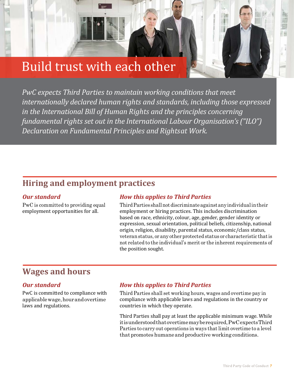# Build trust with each other

*PwC expects Third Parties to maintain working conditions that meet internationally declared human rights and standards, including those expressed in the International Bill of Human Rights and the principles concerning fundamental rights set out in the International Labour Organisation's ("ILO") Declaration on Fundamental Principles and Rightsat Work.*

### <span id="page-8-0"></span>**Hiring and employment practices**

PwC is committed to providing equal employment opportunities for all.

### *Our standard How this applies to Third Parties*

ThirdParties shallnot discriminateagainstanyindividualintheir employment or hiring practices. This includes discrimination based on race, ethnicity, colour, age, gender, gender identity or expression, sexual orientation, political beliefs, citizenship, national origin, religion, disability, parental status, economic/class status, veteranstatus, or any other protected status or characteristic thatis not related to the individual's merit or the inherent requirements of the position sought.

## <span id="page-8-1"></span>**Wages and hours**

PwC is committed to compliance with applicable wage, hourand overtime laws and regulations.

### *Our standard How this applies to Third Parties*

Third Parties shall set working hours, wages and overtime pay in compliance with applicable laws and regulations in the country or countries in which they operate.

Third Parties shall pay at least the applicable minimum wage. While itis understood thatovertimemayberequired,PwCexpectsThird Parties to carry out operations in ways that limit overtime to a level that promotes humaneand productive working conditions.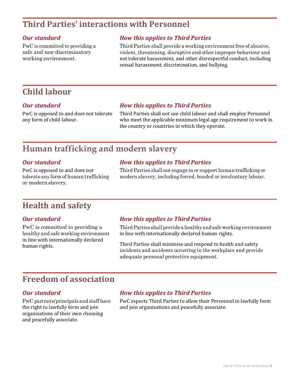# <span id="page-9-0"></span>**Third Parties' interactions with Personnel**

PwC is committed to providing a safe and non-discriminatory working environment.

### *Our standard How this applies to Third Parties*

Third Parties shall provide a working environment free of abusive, violent, threatening, disruptive and other improper behaviour and not tolerate harassment, and other disrespectful conduct, including sexual harassment, discrimination, and bullying.

### <span id="page-9-1"></span>**Child labour**

PwC is opposed to and does not tolerate any form of child labour.

### *Our standard How this applies to Third Parties*

Third Parties shall not use child labour and shall employ Personnel who meet the applicable minimum legal age requirement to work in the country or countries in which they operate.

## <span id="page-9-2"></span>**Human trafficking and modern slavery**

PwC is opposed to and does not tolerate any form of human trafficking or modernslavery.

### *Our standard How this applies to Third Parties*

Third Parties shall not engage in or support human trafficking or modern slavery, including forced, bonded or involuntary labour.

### <span id="page-9-3"></span>**Health and safety**

PwC is committed to providing a healthy and safe working environment in line with internationally declared human rights.

### *Our standard How this applies to Third Parties*

Third Parties shall provide a healthy and safe working environment in line with internationally declared human rights.

Third Parties shall minimise and respond to health and safety incidents and accidents occurring in the workplace and provide adequate personal protective equipment.

# <span id="page-9-4"></span>**Freedom of association**

PwC partners/principals and staff have the right to lawfully form and join organisations of their own choosing and peacefully associate.

### *Our standard How this applies to Third Parties*

PwC expects Third Parties to allow their Personnel to lawfully form and join organisations and peacefully associate.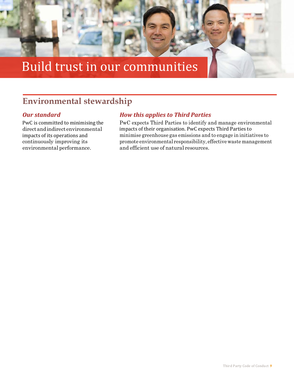

# <span id="page-10-0"></span>**Environmental stewardship**

PwC is committed to minimising the directandindirectenvironmental impacts of its operations and continuously improving its environmental performance.

### *Our standard How this applies to Third Parties*

PwC expects Third Parties to identify and manage environmental impacts of their organisation. PwC expects Third Parties to minimise greenhouse gas emissions and to engage in initiatives to promote environmental responsibility, effective waste management and efficient use of natural resources.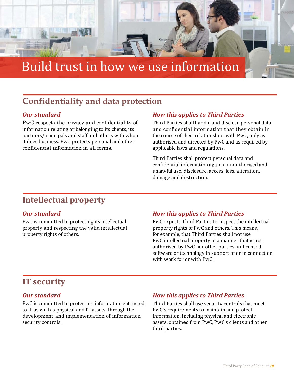

# Build trust in how we use information

# <span id="page-11-0"></span>**Confidentiality and data protection**

PwC respects the privacy and confidentiality of information relating or belonging to its clients, its partners/principals and staff and others with whom it does business. PwC protects personal and other confidential information in all forms.

### *Our standard How this applies to Third Parties*

Third Parties shall handle and disclose personal data and confidential information that they obtain in the course of their relationships with PwC, only as authorised and directed by PwC and as required by applicable laws and regulations.

Third Parties shall protect personal data and confidential information against unauthorised and unlawful use, disclosure, access, loss, alteration, damage and destruction.

# <span id="page-11-1"></span>**Intellectual property**

PwC is committed to protecting its intellectual property and respecting the valid intellectual property rights of others.

### *Our standard How this applies to Third Parties*

PwC expects Third Parties to respect the intellectual property rights of PwC and others. This means, for example, that Third Parties shall not use PwC intellectual property in a manner that is not authorised by PwC nor other parties' unlicensed software or technology in support of or in connection with work for or with PwC.

## <span id="page-11-2"></span>**IT security**

PwC is committed to protecting information entrusted to it, as well as physical and IT assets, through the development and implementation of information security controls.

### *Our standard How this applies to Third Parties*

Third Parties shall use security controls that meet PwC's requirements to maintain and protect information, including physical and electronic assets, obtained from PwC, PwC's clients and other third parties.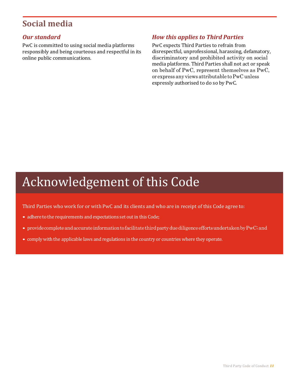# <span id="page-12-0"></span>**Social media**

PwC is committed to using social media platforms responsibly and being courteous and respectful in its online public communications.

### *Our standard How this applies to Third Parties*

PwC expects Third Parties to refrain from disrespectful, unprofessional, harassing, defamatory, discriminatory and prohibited activity on social media platforms. Third Parties shall not act or speak on behalf of PwC, represent themselves as PwC, or express any views attributable toPwC unless expressly authorised to do so by PwC.

# Acknowledgement of this Code

Third Parties who work for or with PwC and its clients and who are in receipt of this Code agree to:

- adhere to the requirements and expectations set out in this Code;
- provide complete and accurate information to facilitate third party due diligence efforts undertaken by PwC; and
- complywith the applicable laws and regulations in the country or countries where they operate.